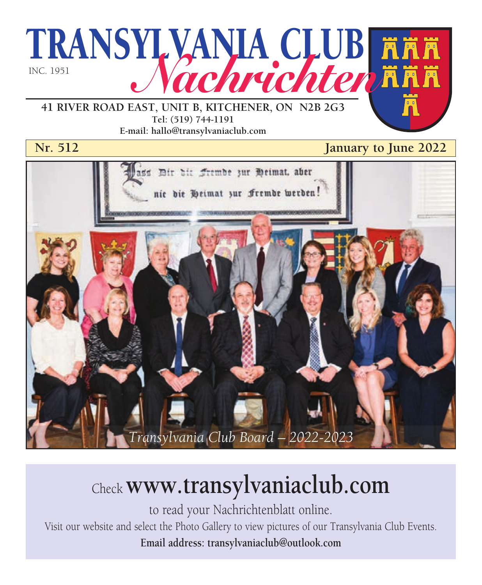

**41 RIVER ROAD EAST, UNIT B, KITCHENER, ON N2B 2G3 Tel: (519) 744-1191 E-mail: hallo@transylvaniaclub.com**

**Nr. 512 January to June 2022** 



# Check **www.transylvaniaclub.com**

to read your Nachrichtenblatt online. Visit our website and select the Photo Gallery to view pictures of our Transylvania Club Events. **Email address: transylvaniaclub@outlook.com**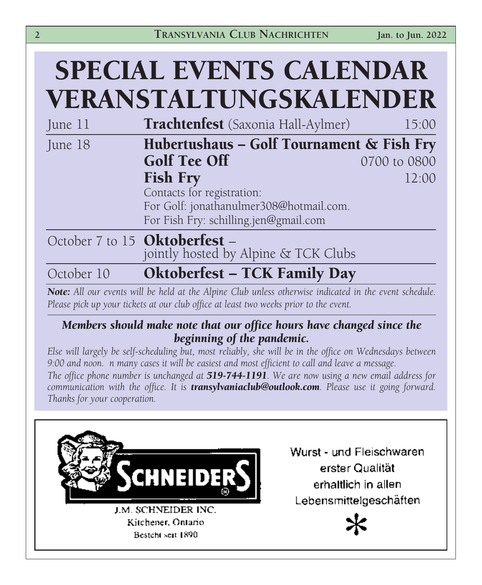|            | <b>SPECIAL EVENTS CALENDAR</b><br>VERANSTALTUNGSKALENDER                                               |              |
|------------|--------------------------------------------------------------------------------------------------------|--------------|
| June 11    | <b>Trachtenfest</b> (Saxonia Hall-Aylmer)                                                              | 15:00        |
| June 18    | Hubertushaus - Golf Tournament & Fish Fry<br><b>Golf Tee Off</b>                                       | 0700 to 0800 |
|            | <b>Fish Fry</b><br>Contacts for registration:                                                          | 12:00        |
|            | For Golf: jonathanulmer308@hotmail.com.<br>For Fish Fry: schilling.jen@gmail.com                       |              |
|            | October 7 to 15 Oktoberfest -<br>jointly hosted by Alpine & TCK Clubs                                  |              |
| October 10 | <b>Oktoberfest - TCK Family Day</b>                                                                    |              |
|            | Note: All our events will be held at the Alpine Club unless otherwise indicated in the event schedule. |              |

*Please pick up your tickets at our club office at least two weeks prior to the event.*

#### *Members should make note that our office hours have changed since the beginning of the pandemic.*

*Else will largely be self-scheduling but, most reliably, she will be in the office on Wednesdays between 9:00 and noon. n many cases it will be easiest and most efficient to call and leave a message. The office phone number is unchanged at 519-744-1191. We are now using a new email address for communication with the office. It is transylvaniaclub@outlook.com. Please use it going forward. Thanks for your cooperation.*



Wurst - und Fleischwaren erster Qualität erhaltlich in allen Lebensmittelgeschäften

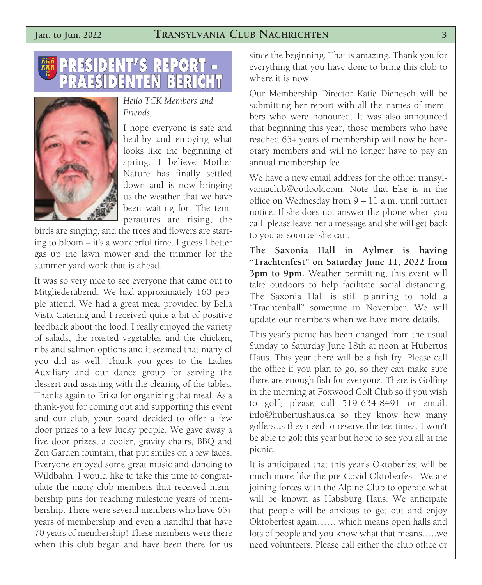#### **Jan. to Jun. 2022 TRANSYLVANIA CLUB NACHRICHTEN 3**





*Hello TCK Members and Friends,*

I hope everyone is safe and healthy and enjoying what looks like the beginning of spring. I believe Mother Nature has finally settled down and is now bringing us the weather that we have been waiting for. The temperatures are rising, the

birds are singing, and the trees and flowers are starting to bloom – it's a wonderful time. I guess I better gas up the lawn mower and the trimmer for the summer yard work that is ahead.

It was so very nice to see everyone that came out to Mitgliederabend. We had approximately 160 people attend. We had a great meal provided by Bella Vista Catering and I received quite a bit of positive feedback about the food. I really enjoyed the variety of salads, the roasted vegetables and the chicken, ribs and salmon options and it seemed that many of you did as well. Thank you goes to the Ladies Auxiliary and our dance group for serving the dessert and assisting with the clearing of the tables. Thanks again to Erika for organizing that meal. As a thank-you for coming out and supporting this event and our club, your board decided to offer a few door prizes to a few lucky people. We gave away a five door prizes, a cooler, gravity chairs, BBQ and Zen Garden fountain, that put smiles on a few faces. Everyone enjoyed some great music and dancing to Wildbahn. I would like to take this time to congratulate the many club members that received membership pins for reaching milestone years of membership. There were several members who have 65+ years of membership and even a handful that have 70 years of membership! These members were there when this club began and have been there for us

since the beginning. That is amazing. Thank you for everything that you have done to bring this club to where it is now.

Our Membership Director Katie Dienesch will be submitting her report with all the names of members who were honoured. It was also announced that beginning this year, those members who have reached 65+ years of membership will now be honorary members and will no longer have to pay an annual membership fee.

We have a new email address for the office: transylvaniaclub@outlook.com. Note that Else is in the office on Wednesday from 9 – 11 a.m. until further notice. If she does not answer the phone when you call, please leave her a message and she will get back to you as soon as she can.

**The Saxonia Hall in Aylmer is having "Trachtenfest" on Saturday June 11, 2022 from 3pm to 9pm.** Weather permitting, this event will take outdoors to help facilitate social distancing. The Saxonia Hall is still planning to hold a "Trachtenball" sometime in November. We will update our members when we have more details.

This year's picnic has been changed from the usual Sunday to Saturday June 18th at noon at Hubertus Haus. This year there will be a fish fry. Please call the office if you plan to go, so they can make sure there are enough fish for everyone. There is Golfing in the morning at Foxwood Golf Club so if you wish to golf, please call 519-634-8491 or email: info@hubertushaus.ca so they know how many golfers as they need to reserve the tee-times. I won't be able to golf this year but hope to see you all at the picnic.

It is anticipated that this year's Oktoberfest will be much more like the pre-Covid Oktoberfest. We are joining forces with the Alpine Club to operate what will be known as Habsburg Haus. We anticipate that people will be anxious to get out and enjoy Oktoberfest again…… which means open halls and lots of people and you know what that means…..we need volunteers. Please call either the club office or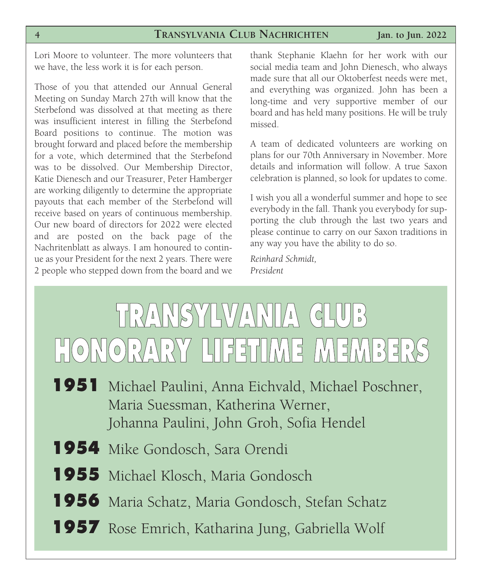Lori Moore to volunteer. The more volunteers that we have, the less work it is for each person.

Those of you that attended our Annual General Meeting on Sunday March 27th will know that the Sterbefond was dissolved at that meeting as there was insufficient interest in filling the Sterbefond Board positions to continue. The motion was brought forward and placed before the membership for a vote, which determined that the Sterbefond was to be dissolved. Our Membership Director, Katie Dienesch and our Treasurer, Peter Hamberger are working diligently to determine the appropriate payouts that each member of the Sterbefond will receive based on years of continuous membership. Our new board of directors for 2022 were elected and are posted on the back page of the Nachritenblatt as always. I am honoured to continue as your President for the next 2 years. There were 2 people who stepped down from the board and we

thank Stephanie Klaehn for her work with our social media team and John Dienesch, who always made sure that all our Oktoberfest needs were met, and everything was organized. John has been a long-time and very supportive member of our board and has held many positions. He will be truly missed.

A team of dedicated volunteers are working on plans for our 70th Anniversary in November. More details and information will follow. A true Saxon celebration is planned, so look for updates to come.

I wish you all a wonderful summer and hope to see everybody in the fall. Thank you everybody for supporting the club through the last two years and please continue to carry on our Saxon traditions in any way you have the ability to do so.

*Reinhard Schmidt, President*



- Maria Suessman, Katherina Werner, Johanna Paulini, John Groh, Sofia Hendel
- **1954** Mike Gondosch, Sara Orendi
- **1955** Michael Klosch, Maria Gondosch
- **1956** Maria Schatz, Maria Gondosch, Stefan Schatz
- **1957** Rose Emrich, Katharina Jung, Gabriella Wolf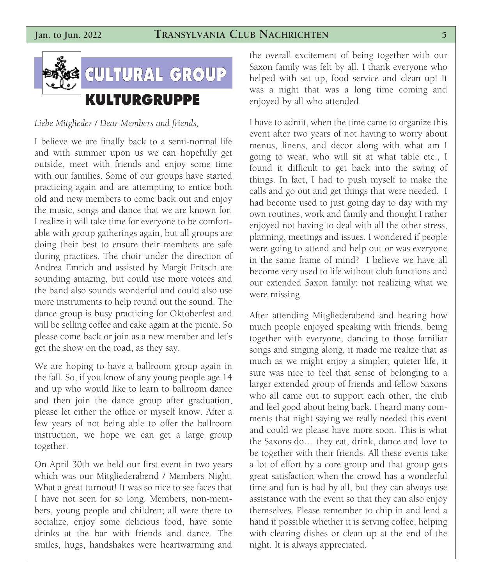#### **Jan. to Jun. 2022 TRANSYLVANIA CLUB NACHRICHTEN 5**



*Liebe Mitglieder / Dear Members and friends,*

I believe we are finally back to a semi-normal life and with summer upon us we can hopefully get outside, meet with friends and enjoy some time with our families. Some of our groups have started practicing again and are attempting to entice both old and new members to come back out and enjoy the music, songs and dance that we are known for. I realize it will take time for everyone to be comfortable with group gatherings again, but all groups are doing their best to ensure their members are safe during practices. The choir under the direction of Andrea Emrich and assisted by Margit Fritsch are sounding amazing, but could use more voices and the band also sounds wonderful and could also use more instruments to help round out the sound. The dance group is busy practicing for Oktoberfest and will be selling coffee and cake again at the picnic. So please come back or join as a new member and let's get the show on the road, as they say.

We are hoping to have a ballroom group again in the fall. So, if you know of any young people age 14 and up who would like to learn to ballroom dance and then join the dance group after graduation, please let either the office or myself know. After a few years of not being able to offer the ballroom instruction, we hope we can get a large group together.

On April 30th we held our first event in two years which was our Mitgliederabend / Members Night. What a great turnout! It was so nice to see faces that I have not seen for so long. Members, non-members, young people and children; all were there to socialize, enjoy some delicious food, have some drinks at the bar with friends and dance. The smiles, hugs, handshakes were heartwarming and

the overall excitement of being together with our Saxon family was felt by all. I thank everyone who helped with set up, food service and clean up! It was a night that was a long time coming and enjoyed by all who attended.

I have to admit, when the time came to organize this event after two years of not having to worry about menus, linens, and décor along with what am I going to wear, who will sit at what table etc., I found it difficult to get back into the swing of things. In fact, I had to push myself to make the calls and go out and get things that were needed. I had become used to just going day to day with my own routines, work and family and thought I rather enjoyed not having to deal with all the other stress, planning, meetings and issues. I wondered if people were going to attend and help out or was everyone in the same frame of mind? I believe we have all become very used to life without club functions and our extended Saxon family; not realizing what we were missing.

After attending Mitgliederabend and hearing how much people enjoyed speaking with friends, being together with everyone, dancing to those familiar songs and singing along, it made me realize that as much as we might enjoy a simpler, quieter life, it sure was nice to feel that sense of belonging to a larger extended group of friends and fellow Saxons who all came out to support each other, the club and feel good about being back. I heard many comments that night saying we really needed this event and could we please have more soon. This is what the Saxons do… they eat, drink, dance and love to be together with their friends. All these events take a lot of effort by a core group and that group gets great satisfaction when the crowd has a wonderful time and fun is had by all, but they can always use assistance with the event so that they can also enjoy themselves. Please remember to chip in and lend a hand if possible whether it is serving coffee, helping with clearing dishes or clean up at the end of the night. It is always appreciated.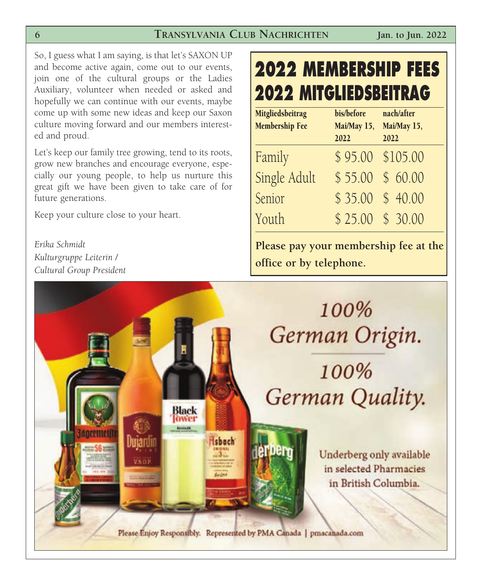So, I guess what I am saying, is that let's SAXON UP and become active again, come out to our events, join one of the cultural groups or the Ladies Auxiliary, volunteer when needed or asked and hopefully we can continue with our events, maybe come up with some new ideas and keep our Saxon culture moving forward and our members interested and proud.

Let's keep our family tree growing, tend to its roots, grow new branches and encourage everyone, especially our young people, to help us nurture this great gift we have been given to take care of for future generations.

Keep your culture close to your heart.

*Erika Schmidt Kulturgruppe Leiterin / Cultural Group President* 

## **2022 MEMBERSHIP FEES 2022 MITGLIEDSBEITRAG**

| Mitgliedsbeitrag<br><b>Membership Fee</b> | bis/before<br>Mai/May 15,<br>2022 | nach/after<br>Mai/May 15,<br>2022 |
|-------------------------------------------|-----------------------------------|-----------------------------------|
| Family                                    |                                   | \$95.00 \$105.00                  |
| Single Adult                              |                                   | $$55.00$$ \$ 60.00                |
| Senior                                    |                                   | $$35.00$$ \$ 40.00                |
| Youth                                     |                                   | \$25.00 \$30.00                   |

**Please pay your membership fee at the office or by telephone.**

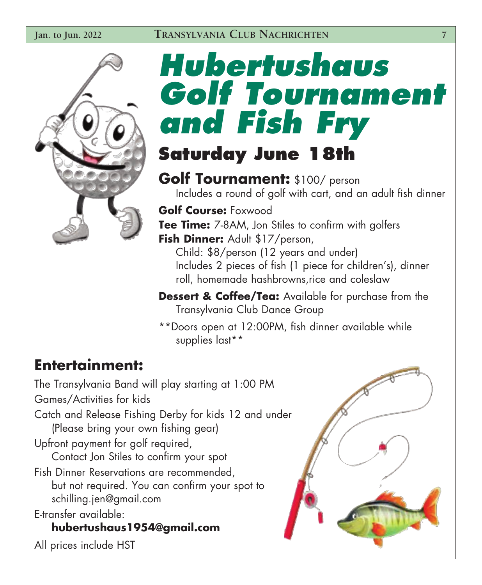

# *Hubertushaus Golf Tournament and Fish Fry* **Saturday June 18th**

# **Golf Tournament:** \$100/ person Includes a round of golf with cart, and an adult fish dinner

**Golf Course:** Foxwood **Tee Time:** 7-8AM, Jon Stiles to confirm with golfers Fish Dinner: Adult \$17/person,

Child: \$8/person (12 years and under) Includes 2 pieces of fish (1 piece for children's), dinner roll, homemade hashbrowns,rice and coleslaw

**Dessert & Coffee/Tea:** Available for purchase from the Transylvania Club Dance Group

\*\*Doors open at 12:00PM, fish dinner available while supplies last\*\*

**Entertainment:** The Transylvania Band will play starting at 1:00 PM Games/Activities for kids Catch and Release Fishing Derby for kids 12 and under (Please bring your own fishing gear) Upfront payment for golf required, Contact Jon Stiles to confirm your spot Fish Dinner Reservations are recommended, but not required. You can confirm your spot to schilling.jen@gmail.com E-transfer available:

**hubertushaus1954@gmail.com** All prices include HST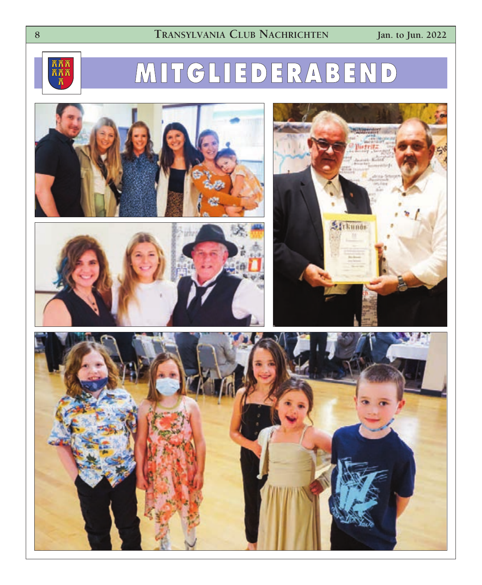

## **M I TG L I E D E R A B E N D**







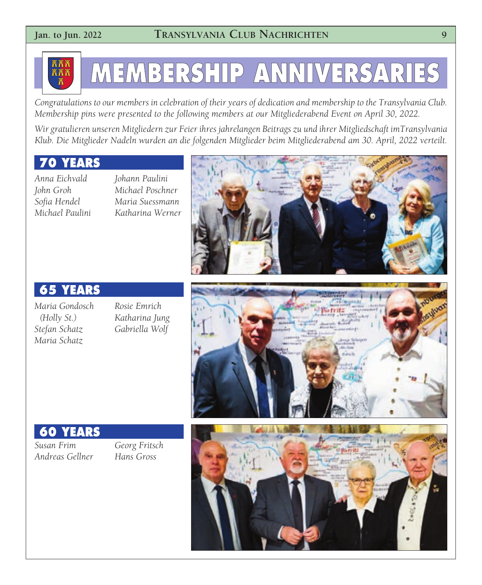

# **MEMBERSHIP ANNIVERSARIES**

*Congratulations to our members in celebration of their years of dedication and membership to the Transylvania Club. Membership pins were presented to the following members at our Mitgliederabend Event on April 30, 2022.*

*Wir gratulieren unseren Mitgliedern zur Feier ihres jahrelangen Beitrags zu und ihrer Mitgliedschaft imTransylvania Klub. Die Mitglieder Nadeln wurden an die folgenden Mitglieder beim Mitgliederabend am 30. April, 2022 verteilt.*

#### **70 YEARS**

*Anna Eichvald John Groh Sofia Hendel Michael Paulini* *Johann Paulini Michael Poschner Maria Suessmann Katharina Werner*



#### **65 YEARS**

*Maria Gondosch (Holly St.) Stefan Schatz Maria Schatz* 

*Rosie Emrich Katharina Jung Gabriella Wolf*



#### **60 YEARS**

*Susan Frim Andreas Gellner* *Georg Fritsch Hans Gross*

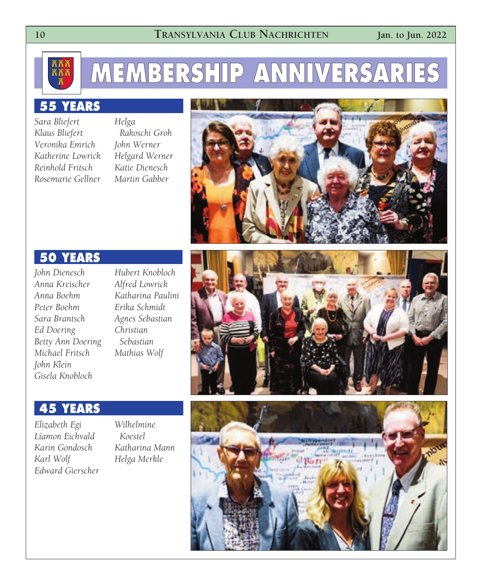

## **MEMBERSHIP ANNIVERSARIES**

#### **55 YEARS**

*Sara Bliefert Klaus Bliefert Veronika Emrich Katherine Lowrick Reinhold Fritsch Rosemarie Gellner*

*Helga Rakoschi Groh John Werner Helgard Werner Katie Dienesch Martin Gabber*



#### **50 YEARS**

*John Dienesch Anna Kreischer Anna Boehm Peter Boehm Sara Brantsch Ed Doering Betty Ann Doering Michael Fritsch John Klein Gisela Knobloch*

*Hubert Knobloch Alfred Lowrick Katharina Paulini Erika Schmidt Agnes Sebastian Christian Sebastian Mathias Wolf*



#### **45 YEARS**

*Elizabeth Egi Liamon Eichvald Karin Gondosch Karl Wolf Edward Gierscher*

*Wilhelmine Koestel Katharina Mann Helga Merkle*

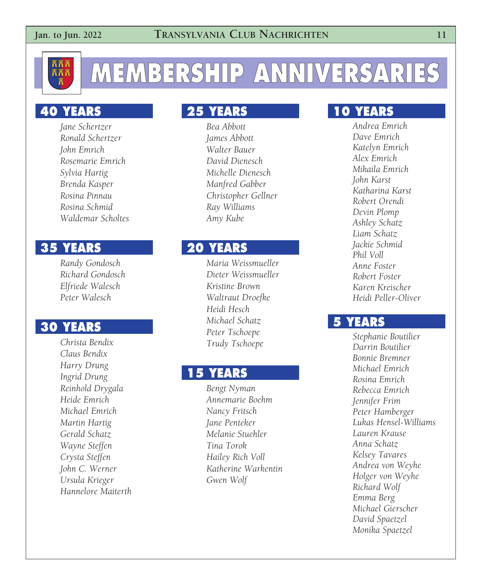

## **MEMBERSHIP ANNIVERSARIES**

#### **40 YEARS**

*Jane Schertzer Ronald Schertzer John Emrich Rosemarie Emrich Sylvia Hartig Brenda Kasper Rosina Pinnau Rosina Schmid Waldemar Scholtes*

#### **35 YEARS**

*Randy Gondosch Richard Gondosch Elfriede Walesch Peter Walesch*

#### **30 YEARS**

*Christa Bendix Claus Bendix Harry Drung Ingrid Drung Reinhold Drygala Heide Emrich Michael Emrich Martin Hartig Gerald Schatz Wayne Steffen Crysta Steffen John C. Werner Ursula Krieger Hannelore Maiterth*

#### **25 YEARS**

*Bea Abbott James Abbott Walter Bauer David Dienesch Michelle Dienesch Manfred Gabber Christopher Gellner Ray Williams Amy Kube*

#### **20 YEARS**

*Maria Weissmueller Dieter Weissmueller Kristine Brown Waltraut Droefke Heidi Hesch Michael Schatz Peter Tschoepe Trudy Tschoepe*

#### **15 YEARS**

*Bengt Nyman Annemarie Boehm Nancy Fritsch Jane Penteker Melanie Stuehler Tina Torok Hailey Rich Voll Katherine Warkentin Gwen Wolf*

#### **10 YEARS**

*Andrea Emrich Dave Emrich Katelyn Emrich Alex Emrich Mikaila Emrich John Karst Katharina Karst Robert Orendi Devin Plomp Ashley Schatz Liam Schatz Jackie Schmid Phil Voll Anne Foster Robert Foster Karen Kreischer Heidi Peller-Oliver*

#### **5 YEARS**

*Stephanie Boutilier Darrin Boutilier Bonnie Bremner Michael Emrich Rosina Emrich Rebecca Emrich Jennifer Frim Peter Hamberger Lukas Hensel-Williams Lauren Krause Anna Schatz Kelsey Tavares Andrea von Weyhe Holger von Weyhe Richard Wolf Emma Berg Michael Gierscher David Spaetzel Monika Spaetzel*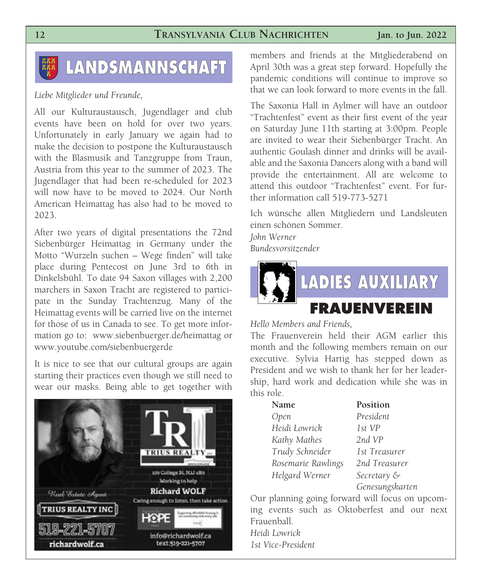## **LANDSMANNSCHAFT**

#### *Liebe Mitglieder und Freunde,*

All our Kulturaustausch, Jugendlager and club events have been on hold for over two years. Unfortunately in early January we again had to make the decision to postpone the Kulturaustausch with the Blasmusik and Tanzgruppe from Traun, Austria from this year to the summer of 2023. The Jugendlager that had been re-scheduled for 2023 will now have to be moved to 2024. Our North American Heimattag has also had to be moved to 2023.

After two years of digital presentations the 72nd Siebenbürger Heimattag in Germany under the Motto "Wurzeln suchen – Wege finden" will take place during Pentecost on June 3rd to 6th in Dinkelsbühl. To date 94 Saxon villages with 2,200 marchers in Saxon Tracht are registered to participate in the Sunday Trachtenzug. Many of the Heimattag events will be carried live on the internet for those of us in Canada to see. To get more information go to: www.siebenbuerger.de/heimattag or www.youtube.com/siebenbuergerde

It is nice to see that our cultural groups are again starting their practices even though we still need to wear our masks. Being able to get together with



members and friends at the Mitgliederabend on April 30th was a great step forward. Hopefully the pandemic conditions will continue to improve so that we can look forward to more events in the fall.

The Saxonia Hall in Aylmer will have an outdoor "Trachtenfest" event as their first event of the year on Saturday June 11th starting at 3:00pm. People are invited to wear their Siebenbürger Tracht. An authentic Goulash dinner and drinks will be available and the Saxonia Dancers along with a band will provide the entertainment. All are welcome to attend this outdoor "Trachtenfest" event. For further information call 519-773-5271

Ich wünsche allen Mitgliedern und Landsleuten einen schönen Sommer.

*John Werner Bundesvorsitzender*



*Hello Members and Friends,* 

The Frauenverein held their AGM earlier this month and the following members remain on our executive. Sylvia Hartig has stepped down as President and we wish to thank her for her leadership, hard work and dedication while she was in this role.

| Name               | Position        |
|--------------------|-----------------|
| Open               | President       |
| Heidi Lowrick      | 1st VP          |
| Kathy Mathes       | 2nd VP          |
| Trudy Schneider    | 1st Treasurer   |
| Rosemarie Rawlings | 2nd Treasurer   |
| Helgard Werner     | Secretary &     |
|                    | Genesungskarten |

Our planning going forward will focus on upcoming events such as Oktoberfest and our next Frauenball.

*Heidi Lowrick 1st Vice-President*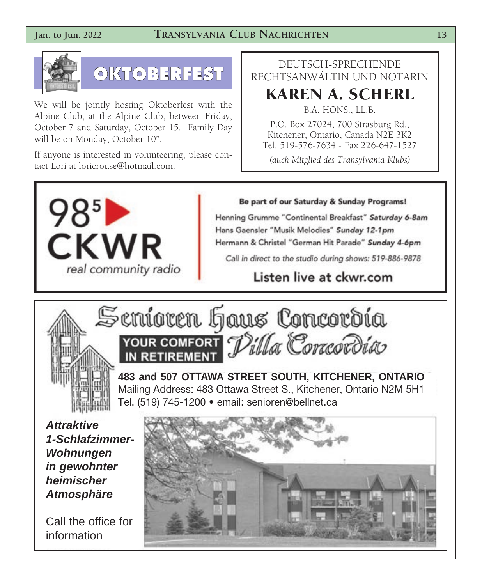#### **Jan. to Jun. 2022 TRANSYLVANIA CLUB NACHRICHTEN 13**



## **OKTOBERFEST**

We will be jointly hosting Oktoberfest with the Alpine Club, at the Alpine Club, between Friday, October 7 and Saturday, October 15. Family Day will be on Monday, October 10".

If anyone is interested in volunteering, please contact Lori at loricrouse@hotmail.com.

#### DEUTSCH-SPRECHENDE RECHTSANWÄLTIN UND NOTARIN

### **KAREN A. SCHERL**

B.A. HONS., LL.B. P.O. Box 27024, 700 Strasburg Rd., Kitchener, Ontario, Canada N2E 3K2 Tel. 519-576-7634 - Fax 226-647-1527

*(auch Mitglied des Transylvania Klubs)*



Be part of our Saturday & Sunday Programs!

Henning Grumme "Continental Breakfast" Saturday 6-8am Hans Gaensler "Musik Melodies" Sunday 12-1pm Hermann & Christel "German Hit Parade" Sunday 4-6pm

Call in direct to the studio during shows: 519-886-9878

### Listen live at ckwr.com





**483 and 507 OTTAWA STREET SOUTH, KITCHENER, ONTARIO** Mailing Address: 483 Ottawa Street S., Kitchener, Ontario N2M 5H1 Tel. (519) 745-1200 • email: senioren@bellnet.ca

*Attraktive 1-Schlafzimmer-Wohnungen in gewohnter heimischer Atmosphäre*

Call the office for information

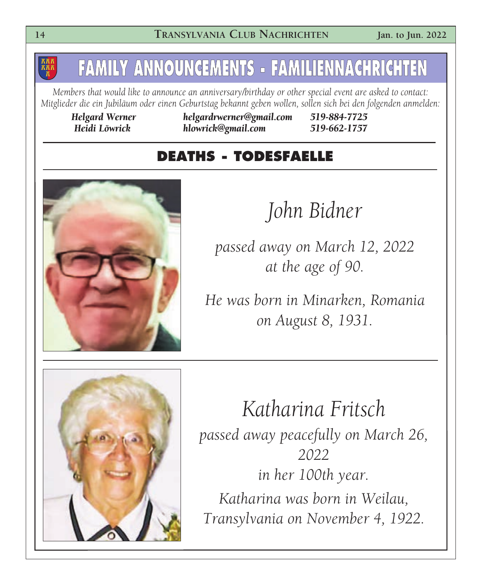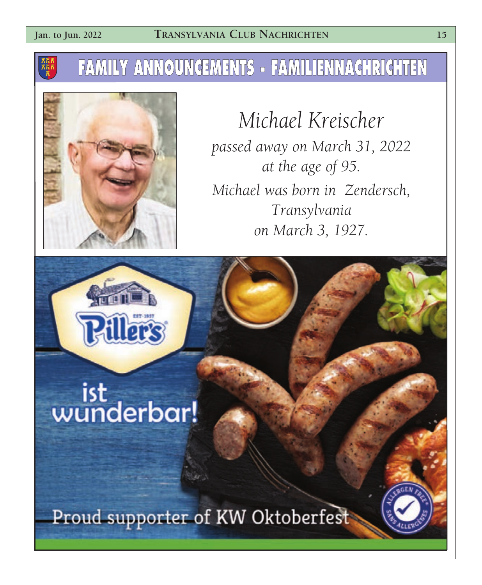## **FAMILY ANNOUNCEMENTS - FAMILIENNACHRICHTEN**



*Michael Kreischer passed away on March 31, 2022 at the age of 95. Michael was born in Zendersch, Transylvania on March 3, 1927.*

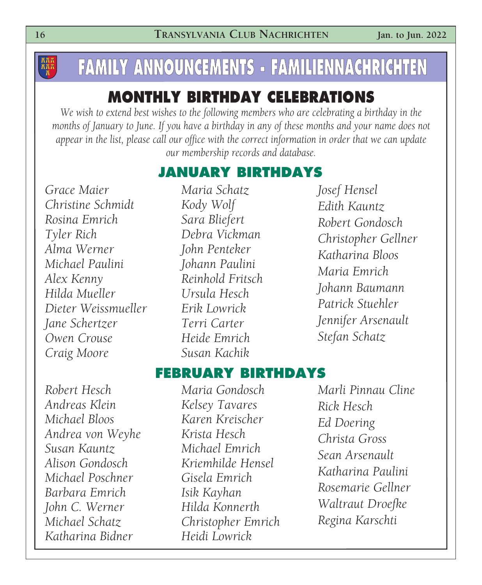## **FAMILY ANNOUNCEMENTS - FAMILIENNACHRICHTEN**

### **MONTHLY BIRTHDAY CELEBRATIONS**

*We wish to extend best wishes to the following members who are celebrating a birthday in the months of January to June. If you have a birthday in any of these months and your name does not appear in the list, please call our office with the correct information in order that we can update our membership records and database.*

### **JANUARY BIRTHDAYS**

*Grace Maier Christine Schmidt Rosina Emrich Tyler Rich Alma Werner Michael Paulini Alex Kenny Hilda Mueller Dieter Weissmueller Jane Schertzer Owen Crouse Craig Moore*

*Maria Schatz Kody Wolf Sara Bliefert Debra Vickman John Penteker Johann Paulini Reinhold Fritsch Ursula Hesch Erik Lowrick Terri Carter Heide Emrich Susan Kachik*

*Josef Hensel Edith Kauntz Robert Gondosch Christopher Gellner Katharina Bloos Maria Emrich Johann Baumann Patrick Stuehler Jennifer Arsenault Stefan Schatz*

#### **FEBRUARY BIRTHDAYS**

*Robert Hesch Andreas Klein Michael Bloos Andrea von Weyhe Susan Kauntz Alison Gondosch Michael Poschner Barbara Emrich John C. Werner Michael Schatz Katharina Bidner*

*Maria Gondosch Kelsey Tavares Karen Kreischer Krista Hesch Michael Emrich Kriemhilde Hensel Gisela Emrich Isik Kayhan Hilda Konnerth Christopher Emrich Heidi Lowrick*

*Marli Pinnau Cline Rick Hesch Ed Doering Christa Gross Sean Arsenault Katharina Paulini Rosemarie Gellner Waltraut Droefke Regina Karschti*

**RAK**<br>RAK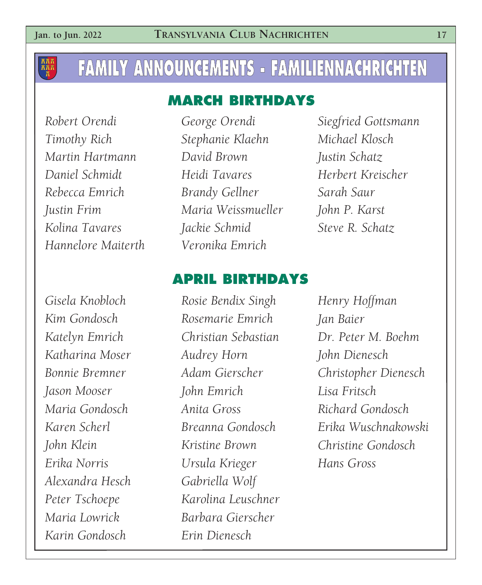**KAK**<br>KAK

## **FAMILY ANNOUNCEMENTS - FAMILIENNACHRICHTEN**

### **MARCH BIRTHDAYS**

*Robert Orendi Timothy Rich Martin Hartmann Daniel Schmidt Rebecca Emrich Justin Frim Kolina Tavares Hannelore Maiterth*

*Gisela Knobloch Kim Gondosch Katelyn Emrich Katharina Moser Bonnie Bremner Jason Mooser Maria Gondosch Karen Scherl John Klein Erika Norris Alexandra Hesch Peter Tschoepe Maria Lowrick Karin Gondosch*

*George Orendi Stephanie Klaehn David Brown Heidi Tavares Brandy Gellner Maria Weissmueller Jackie Schmid Veronika Emrich*

*Siegfried Gottsmann Michael Klosch Justin Schatz Herbert Kreischer Sarah Saur John P. Karst Steve R. Schatz*

#### **APRIL BIRTHDAYS**

*Rosie Bendix Singh Rosemarie Emrich Christian Sebastian Audrey Horn Adam Gierscher John Emrich Anita Gross Breanna Gondosch Kristine Brown Ursula Krieger Gabriella Wolf Karolina Leuschner Barbara Gierscher Erin Dienesch*

*Henry Hoffman Jan Baier Dr. Peter M. Boehm John Dienesch Christopher Dienesch Lisa Fritsch Richard Gondosch Erika Wuschnakowski Christine Gondosch Hans Gross*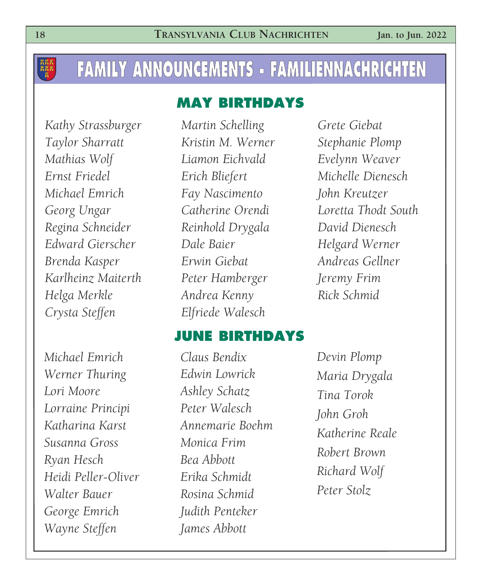### **FAMILY ANNOUNCEMENTS - FAMILIENNACHRICHTEN**

#### **MAY BIRTHDAYS**

*Kathy Strassburger Taylor Sharratt Mathias Wolf Ernst Friedel Michael Emrich Georg Ungar Regina Schneider Edward Gierscher Brenda Kasper Karlheinz Maiterth Helga Merkle Crysta Steffen*

*Michael Emrich Werner Thuring Lori Moore Lorraine Principi Katharina Karst Susanna Gross Ryan Hesch Heidi Peller-Oliver Walter Bauer George Emrich Wayne Steffen*

*Martin Schelling Kristin M. Werner Liamon Eichvald Erich Bliefert Fay Nascimento Catherine Orendi Reinhold Drygala Dale Baier Erwin Giebat Peter Hamberger Andrea Kenny Elfriede Walesch*

*Grete Giebat Stephanie Plomp Evelynn Weaver Michelle Dienesch John Kreutzer Loretta Thodt South David Dienesch Helgard Werner Andreas Gellner Jeremy Frim Rick Schmid*

#### **JUNE BIRTHDAYS**

*Claus Bendix Edwin Lowrick Ashley Schatz Peter Walesch Annemarie Boehm Monica Frim Bea Abbott Erika Schmidt Rosina Schmid Judith Penteker James Abbott*

*Devin Plomp Maria Drygala Tina Torok John Groh Katherine Reale Robert Brown Richard Wolf Peter Stolz*

**AAA**<br>AAA<br>A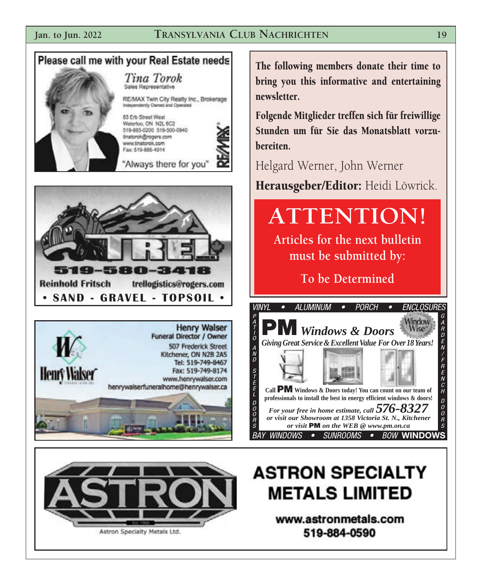